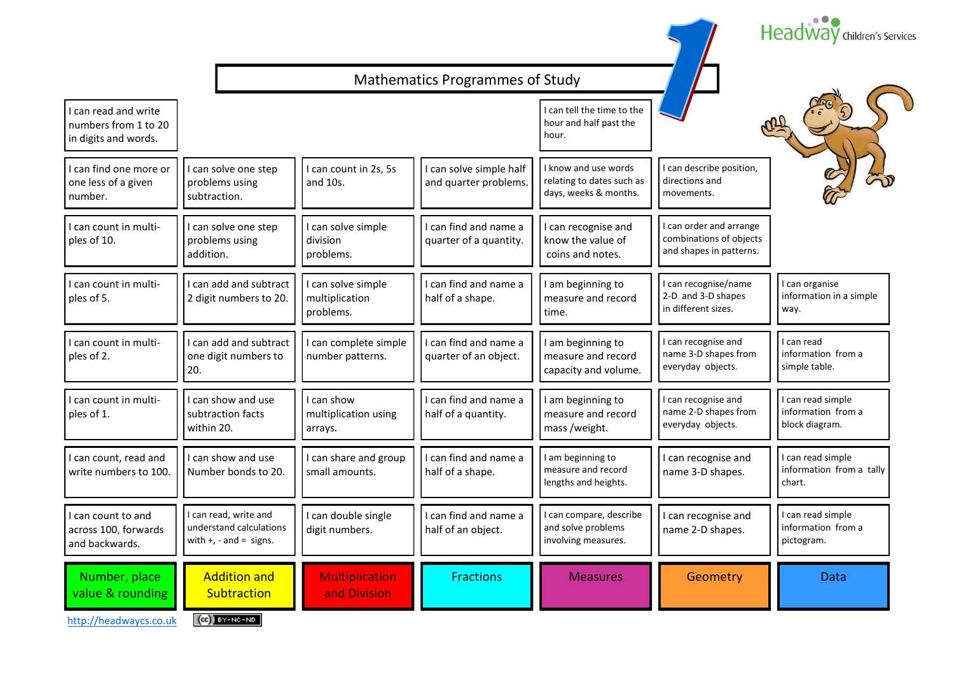|                                                                      |                                                                               |                                                   |                                                  |                                                                            |                                                                             | Headway children's Services                               |
|----------------------------------------------------------------------|-------------------------------------------------------------------------------|---------------------------------------------------|--------------------------------------------------|----------------------------------------------------------------------------|-----------------------------------------------------------------------------|-----------------------------------------------------------|
|                                                                      |                                                                               |                                                   | <b>Mathematics Programmes of Study</b>           |                                                                            |                                                                             |                                                           |
| I can read and write<br>numbers from 1 to 20<br>in digits and words. |                                                                               |                                                   |                                                  | I can tell the time to the<br>hour and half past the<br>hour.              |                                                                             |                                                           |
| I can find one more or<br>one less of a given<br>number.             | I can solve one step<br>problems using<br>subtraction.                        | I can count in 2s, 5s<br>and 10s.                 | I can solve simple half<br>and quarter problems. | I know and use words<br>relating to dates such as<br>days, weeks & months. | can describe position,<br>directions and<br>movements.                      |                                                           |
| I can count in multi-<br>ples of 10.                                 | I can solve one step<br>problems using<br>addition.                           | I can solve simple<br>division<br>problems.       | I can find and name a<br>quarter of a quantity.  | I can recognise and<br>know the value of<br>coins and notes.               | can order and arrange<br>combinations of objects<br>and shapes in patterns. |                                                           |
| I can count in multi-<br>ples of 5.                                  | I can add and subtract<br>2 digit numbers to 20.                              | I can solve simple<br>multiplication<br>problems. | I can find and name a<br>half of a shape.        | am beginning to<br>measure and record<br>time.                             | can recognise/name<br>2-D and 3-D shapes<br>in different sizes.             | I can organise<br>information in a simple<br>way.         |
| I can count in multi-<br>ples of 2.                                  | I can add and subtract<br>one digit numbers to<br>20.                         | I can complete simple<br>number patterns.         | I can find and name a<br>quarter of an object.   | I am beginning to<br>measure and record<br>capacity and volume.            | can recognise and<br>name 3-D shapes from<br>everyday objects.              | I can read<br>information from a<br>simple table.         |
| I can count in multi-<br>ples of 1.                                  | I can show and use<br>subtraction facts<br>within 20.                         | I can show<br>multiplication using<br>arrays.     | I can find and name a<br>half of a quantity.     | I am beginning to<br>measure and record<br>mass /weight.                   | can recognise and<br>name 2-D shapes from<br>everyday objects.              | I can read simple<br>information from a<br>block diagram. |
| I can count, read and<br>write numbers to 100.                       | I can show and use<br>Number bonds to 20.                                     | I can share and group<br>small amounts.           | I can find and name a<br>half of a shape.        | I am beginning to<br>measure and record<br>lengths and heights.            | I can recognise and<br>name 3-D shapes.                                     | can read simple<br>information from a tally<br>chart.     |
| I can count to and<br>across 100, forwards<br>and backwards.         | I can read, write and<br>understand calculations<br>with $+$ , - and = signs. | I can double single<br>digit numbers.             | I can find and name a<br>half of an object.      | I can compare, describe<br>and solve problems<br>involving measures.       | I can recognise and<br>name 2-D shapes.                                     | I can read simple<br>information from a<br>pictogram.     |
| Number, place<br>value & rounding                                    | <b>Addition and</b><br>Subtraction                                            | <b>Multiplication</b><br>and Division             | <b>Fractions</b>                                 | <b>Measures</b>                                                            | Geometry                                                                    | <b>Data</b>                                               |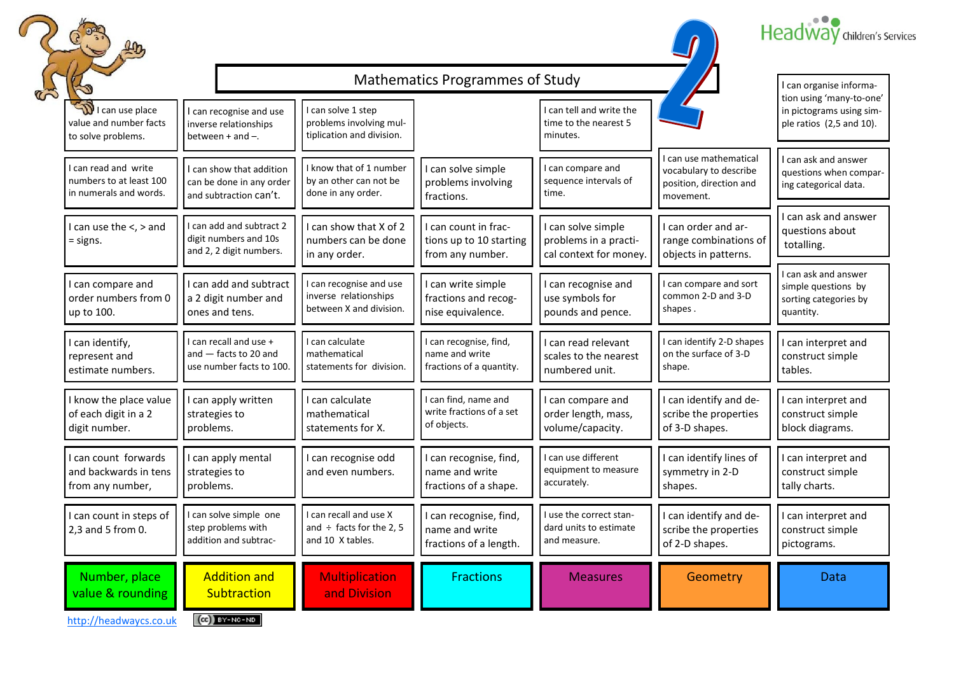





## Mathematics Programmes of Study

| $\beta$                                                                   | Mathematics Programmes of Study<br>I can organise informa-                     |                                                                            |                                                                      |                                                                       |                                                                                          |                                                                                   |  |  |
|---------------------------------------------------------------------------|--------------------------------------------------------------------------------|----------------------------------------------------------------------------|----------------------------------------------------------------------|-----------------------------------------------------------------------|------------------------------------------------------------------------------------------|-----------------------------------------------------------------------------------|--|--|
| <b>ID</b> I can use place<br>value and number facts<br>to solve problems. | I can recognise and use<br>inverse relationships<br>between $+$ and $-$ .      | I can solve 1 step<br>problems involving mul-<br>tiplication and division. |                                                                      | I can tell and write the<br>time to the nearest 5<br>minutes.         |                                                                                          | tion using 'many-to-one'<br>in pictograms using sim-<br>ple ratios (2,5 and 10).  |  |  |
| I can read and write<br>numbers to at least 100<br>in numerals and words. | I can show that addition<br>can be done in any order<br>and subtraction can't. | I know that of 1 number<br>by an other can not be<br>done in any order.    | I can solve simple<br>problems involving<br>fractions.               | can compare and<br>sequence intervals of<br>time.                     | I can use mathematical<br>vocabulary to describe<br>position, direction and<br>movement. | I can ask and answer<br>questions when compar-<br>ing categorical data.           |  |  |
| I can use the <, > and<br>$=$ signs.                                      | I can add and subtract 2<br>digit numbers and 10s<br>and 2, 2 digit numbers.   | can show that X of 2<br>numbers can be done<br>in any order.               | I can count in frac-<br>tions up to 10 starting<br>from any number.  | I can solve simple<br>problems in a practi-<br>cal context for money. | I can order and ar-<br>range combinations of<br>objects in patterns.                     | I can ask and answer<br>questions about<br>totalling.                             |  |  |
| I can compare and<br>order numbers from 0<br>up to 100.                   | I can add and subtract<br>a 2 digit number and<br>ones and tens.               | can recognise and use<br>inverse relationships<br>between X and division.  | I can write simple<br>fractions and recog-<br>nise equivalence.      | I can recognise and<br>use symbols for<br>pounds and pence.           | I can compare and sort<br>common 2-D and 3-D<br>shapes.                                  | I can ask and answer<br>simple questions by<br>sorting categories by<br>quantity. |  |  |
| I can identify,<br>represent and<br>estimate numbers.                     | I can recall and use +<br>and $-$ facts to 20 and<br>use number facts to 100.  | I can calculate<br>mathematical<br>statements for division.                | I can recognise, find,<br>name and write<br>fractions of a quantity. | I can read relevant<br>scales to the nearest<br>numbered unit.        | I can identify 2-D shapes<br>on the surface of 3-D<br>shape.                             | I can interpret and<br>construct simple<br>tables.                                |  |  |
| I know the place value<br>of each digit in a 2<br>digit number.           | I can apply written<br>strategies to<br>problems.                              | I can calculate<br>mathematical<br>statements for X.                       | I can find, name and<br>write fractions of a set<br>of objects.      | I can compare and<br>order length, mass,<br>volume/capacity.          | I can identify and de-<br>scribe the properties<br>of 3-D shapes.                        | I can interpret and<br>construct simple<br>block diagrams.                        |  |  |
| I can count forwards<br>and backwards in tens<br>from any number,         | I can apply mental<br>strategies to<br>problems.                               | can recognise odd<br>and even numbers.                                     | I can recognise, find,<br>name and write<br>fractions of a shape.    | can use different<br>equipment to measure<br>accurately.              | I can identify lines of<br>symmetry in 2-D<br>shapes.                                    | I can interpret and<br>construct simple<br>tally charts.                          |  |  |
| I can count in steps of<br>2,3 and 5 from 0.                              | I can solve simple one<br>step problems with<br>addition and subtrac-          | can recall and use X<br>and $\div$ facts for the 2, 5<br>and 10 X tables.  | I can recognise, find,<br>name and write<br>fractions of a length.   | I use the correct stan-<br>dard units to estimate<br>and measure.     | I can identify and de-<br>scribe the properties<br>of 2-D shapes.                        | I can interpret and<br>construct simple<br>pictograms.                            |  |  |
| Number, place<br>value & rounding                                         | <b>Addition and</b><br>Subtraction                                             | <b>Multiplication</b><br>and Division                                      | <b>Fractions</b>                                                     | <b>Measures</b>                                                       | Geometry                                                                                 | <b>Data</b>                                                                       |  |  |
| http://headwaycs.co.uk                                                    | $(G)$ BY-NC-ND                                                                 |                                                                            |                                                                      |                                                                       |                                                                                          |                                                                                   |  |  |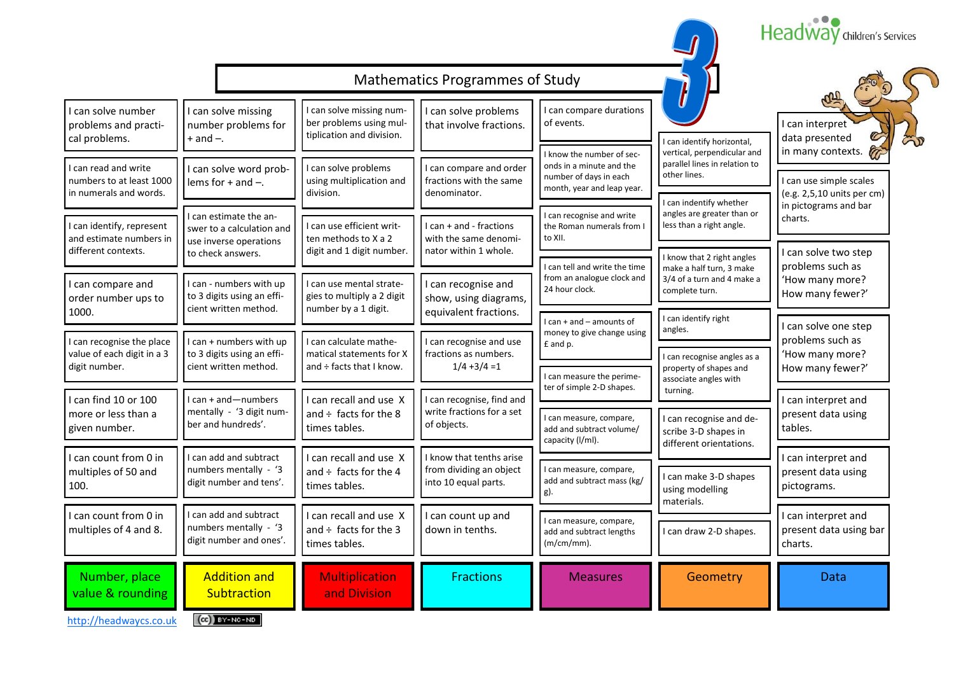| <b>Mathematics Programmes of Study</b><br>I can solve missing num-<br>I can compare durations<br>I can solve number<br>I can solve problems<br>I can solve missing<br>ber problems using mul-<br>of events.<br>I can interpret<br>number problems for<br>that involve fractions.<br>problems and practi-<br>tiplication and division.<br>data presented<br>cal problems.<br>$+$ and $-$ .<br>I can identify horizontal,<br>in many contexts.<br>vertical, perpendicular and<br>I know the number of sec-<br>parallel lines in relation to<br>onds in a minute and the<br>I can solve problems<br>I can compare and order<br>I can read and write<br>I can solve word prob-<br>other lines.<br>number of days in each<br>numbers to at least 1000<br>using multiplication and<br>fractions with the same<br>I can use simple scales<br>lems for $+$ and $-$ .<br>month, year and leap year.<br>in numerals and words.<br>division.<br>denominator.<br>(e.g. 2,5,10 units per cm)<br>I can indentify whether<br>in pictograms and bar<br>angles are greater than or<br>I can recognise and write<br>I can estimate the an-<br>charts.<br>I can use efficient writ-<br>less than a right angle.<br>I can identify, represent<br>I can + and - fractions<br>the Roman numerals from I<br>swer to a calculation and<br>to XII.<br>and estimate numbers in<br>ten methods to X a 2<br>with the same denomi-<br>use inverse operations<br>different contexts.<br>digit and 1 digit number.<br>nator within 1 whole.<br>I can solve two step<br>to check answers.<br>I know that 2 right angles<br>problems such as<br>I can tell and write the time<br>make a half turn, 3 make<br>from an analogue clock and<br>3/4 of a turn and 4 make a<br>'How many more?<br>I can - numbers with up<br>I can use mental strate-<br>I can compare and<br>I can recognise and<br>24 hour clock.<br>complete turn.<br>How many fewer?'<br>to 3 digits using an effi-<br>gies to multiply a 2 digit<br>order number ups to<br>show, using diagrams,<br>cient written method.<br>number by a 1 digit.<br>equivalent fractions.<br>1000.<br>I can identify right<br>I can + and - amounts of<br>I can solve one step<br>angles.<br>money to give change using<br>problems such as<br>I can recognise the place<br>I can + numbers with up<br>I can calculate mathe-<br>I can recognise and use<br>£ and p.<br>value of each digit in a 3<br>to 3 digits using an effi-<br>fractions as numbers.<br>'How many more?<br>matical statements for X<br>I can recognise angles as a<br>digit number.<br>cient written method.<br>and ÷ facts that I know.<br>$1/4 + 3/4 = 1$<br>How many fewer?'<br>property of shapes and<br>I can measure the perime-<br>associate angles with<br>ter of simple 2-D shapes.<br>turning.<br>I can + and-numbers<br>I can recognise, find and<br>I can recall and use X<br>I can find 10 or 100<br>I can interpret and<br>write fractions for a set<br>mentally - '3 digit num-<br>and $\div$ facts for the 8<br>more or less than a<br>present data using<br>I can measure, compare,<br>I can recognise and de-<br>ber and hundreds'.<br>of objects.<br>given number.<br>times tables.<br>tables.<br>add and subtract volume/<br>scribe 3-D shapes in<br>capacity (I/ml).<br>different orientations.<br>I can add and subtract<br>I know that tenths arise<br>I can count from 0 in<br>can recall and use X<br>I can interpret and<br>from dividing an object<br>numbers mentally - '3<br>I can measure, compare,<br>and $\div$ facts for the 4<br>multiples of 50 and<br>present data using<br>I can make 3-D shapes<br>add and subtract mass (kg/<br>digit number and tens'.<br>into 10 equal parts.<br>100.<br>times tables.<br>pictograms.<br>using modelling<br>materials.<br>I can add and subtract<br>I can recall and use X<br>I can count from 0 in<br>I can count up and<br>I can interpret and<br>I can measure, compare,<br>numbers mentally - '3<br>multiples of 4 and 8.<br>and $\div$ facts for the 3<br>present data using bar<br>down in tenths.<br>I can draw 2-D shapes.<br>add and subtract lengths<br>digit number and ones'.<br>$(m/cm/mm)$ .<br>times tables.<br>charts. |  |  |  | Headway children's Services |
|-----------------------------------------------------------------------------------------------------------------------------------------------------------------------------------------------------------------------------------------------------------------------------------------------------------------------------------------------------------------------------------------------------------------------------------------------------------------------------------------------------------------------------------------------------------------------------------------------------------------------------------------------------------------------------------------------------------------------------------------------------------------------------------------------------------------------------------------------------------------------------------------------------------------------------------------------------------------------------------------------------------------------------------------------------------------------------------------------------------------------------------------------------------------------------------------------------------------------------------------------------------------------------------------------------------------------------------------------------------------------------------------------------------------------------------------------------------------------------------------------------------------------------------------------------------------------------------------------------------------------------------------------------------------------------------------------------------------------------------------------------------------------------------------------------------------------------------------------------------------------------------------------------------------------------------------------------------------------------------------------------------------------------------------------------------------------------------------------------------------------------------------------------------------------------------------------------------------------------------------------------------------------------------------------------------------------------------------------------------------------------------------------------------------------------------------------------------------------------------------------------------------------------------------------------------------------------------------------------------------------------------------------------------------------------------------------------------------------------------------------------------------------------------------------------------------------------------------------------------------------------------------------------------------------------------------------------------------------------------------------------------------------------------------------------------------------------------------------------------------------------------------------------------------------------------------------------------------------------------------------------------------------------------------------------------------------------------------------------------------------------------------------------------------------------------------------------------------------------------------------------------------------------------------------------------------------------------------------------------------------------------------------------------------------------------------------------------------------------------------------------------------------------------------------------------------------------------------------------------------------------------------------------------------------------------------------------------------------------------------------------------------------------------------------------------------------------------------------------------------------------------------------------------------------------------------------------|--|--|--|-----------------------------|
|                                                                                                                                                                                                                                                                                                                                                                                                                                                                                                                                                                                                                                                                                                                                                                                                                                                                                                                                                                                                                                                                                                                                                                                                                                                                                                                                                                                                                                                                                                                                                                                                                                                                                                                                                                                                                                                                                                                                                                                                                                                                                                                                                                                                                                                                                                                                                                                                                                                                                                                                                                                                                                                                                                                                                                                                                                                                                                                                                                                                                                                                                                                                                                                                                                                                                                                                                                                                                                                                                                                                                                                                                                                                                                                                                                                                                                                                                                                                                                                                                                                                                                                                                                                                     |  |  |  |                             |
|                                                                                                                                                                                                                                                                                                                                                                                                                                                                                                                                                                                                                                                                                                                                                                                                                                                                                                                                                                                                                                                                                                                                                                                                                                                                                                                                                                                                                                                                                                                                                                                                                                                                                                                                                                                                                                                                                                                                                                                                                                                                                                                                                                                                                                                                                                                                                                                                                                                                                                                                                                                                                                                                                                                                                                                                                                                                                                                                                                                                                                                                                                                                                                                                                                                                                                                                                                                                                                                                                                                                                                                                                                                                                                                                                                                                                                                                                                                                                                                                                                                                                                                                                                                                     |  |  |  |                             |
|                                                                                                                                                                                                                                                                                                                                                                                                                                                                                                                                                                                                                                                                                                                                                                                                                                                                                                                                                                                                                                                                                                                                                                                                                                                                                                                                                                                                                                                                                                                                                                                                                                                                                                                                                                                                                                                                                                                                                                                                                                                                                                                                                                                                                                                                                                                                                                                                                                                                                                                                                                                                                                                                                                                                                                                                                                                                                                                                                                                                                                                                                                                                                                                                                                                                                                                                                                                                                                                                                                                                                                                                                                                                                                                                                                                                                                                                                                                                                                                                                                                                                                                                                                                                     |  |  |  |                             |
|                                                                                                                                                                                                                                                                                                                                                                                                                                                                                                                                                                                                                                                                                                                                                                                                                                                                                                                                                                                                                                                                                                                                                                                                                                                                                                                                                                                                                                                                                                                                                                                                                                                                                                                                                                                                                                                                                                                                                                                                                                                                                                                                                                                                                                                                                                                                                                                                                                                                                                                                                                                                                                                                                                                                                                                                                                                                                                                                                                                                                                                                                                                                                                                                                                                                                                                                                                                                                                                                                                                                                                                                                                                                                                                                                                                                                                                                                                                                                                                                                                                                                                                                                                                                     |  |  |  |                             |
|                                                                                                                                                                                                                                                                                                                                                                                                                                                                                                                                                                                                                                                                                                                                                                                                                                                                                                                                                                                                                                                                                                                                                                                                                                                                                                                                                                                                                                                                                                                                                                                                                                                                                                                                                                                                                                                                                                                                                                                                                                                                                                                                                                                                                                                                                                                                                                                                                                                                                                                                                                                                                                                                                                                                                                                                                                                                                                                                                                                                                                                                                                                                                                                                                                                                                                                                                                                                                                                                                                                                                                                                                                                                                                                                                                                                                                                                                                                                                                                                                                                                                                                                                                                                     |  |  |  |                             |
|                                                                                                                                                                                                                                                                                                                                                                                                                                                                                                                                                                                                                                                                                                                                                                                                                                                                                                                                                                                                                                                                                                                                                                                                                                                                                                                                                                                                                                                                                                                                                                                                                                                                                                                                                                                                                                                                                                                                                                                                                                                                                                                                                                                                                                                                                                                                                                                                                                                                                                                                                                                                                                                                                                                                                                                                                                                                                                                                                                                                                                                                                                                                                                                                                                                                                                                                                                                                                                                                                                                                                                                                                                                                                                                                                                                                                                                                                                                                                                                                                                                                                                                                                                                                     |  |  |  |                             |
|                                                                                                                                                                                                                                                                                                                                                                                                                                                                                                                                                                                                                                                                                                                                                                                                                                                                                                                                                                                                                                                                                                                                                                                                                                                                                                                                                                                                                                                                                                                                                                                                                                                                                                                                                                                                                                                                                                                                                                                                                                                                                                                                                                                                                                                                                                                                                                                                                                                                                                                                                                                                                                                                                                                                                                                                                                                                                                                                                                                                                                                                                                                                                                                                                                                                                                                                                                                                                                                                                                                                                                                                                                                                                                                                                                                                                                                                                                                                                                                                                                                                                                                                                                                                     |  |  |  |                             |
|                                                                                                                                                                                                                                                                                                                                                                                                                                                                                                                                                                                                                                                                                                                                                                                                                                                                                                                                                                                                                                                                                                                                                                                                                                                                                                                                                                                                                                                                                                                                                                                                                                                                                                                                                                                                                                                                                                                                                                                                                                                                                                                                                                                                                                                                                                                                                                                                                                                                                                                                                                                                                                                                                                                                                                                                                                                                                                                                                                                                                                                                                                                                                                                                                                                                                                                                                                                                                                                                                                                                                                                                                                                                                                                                                                                                                                                                                                                                                                                                                                                                                                                                                                                                     |  |  |  |                             |
|                                                                                                                                                                                                                                                                                                                                                                                                                                                                                                                                                                                                                                                                                                                                                                                                                                                                                                                                                                                                                                                                                                                                                                                                                                                                                                                                                                                                                                                                                                                                                                                                                                                                                                                                                                                                                                                                                                                                                                                                                                                                                                                                                                                                                                                                                                                                                                                                                                                                                                                                                                                                                                                                                                                                                                                                                                                                                                                                                                                                                                                                                                                                                                                                                                                                                                                                                                                                                                                                                                                                                                                                                                                                                                                                                                                                                                                                                                                                                                                                                                                                                                                                                                                                     |  |  |  |                             |
|                                                                                                                                                                                                                                                                                                                                                                                                                                                                                                                                                                                                                                                                                                                                                                                                                                                                                                                                                                                                                                                                                                                                                                                                                                                                                                                                                                                                                                                                                                                                                                                                                                                                                                                                                                                                                                                                                                                                                                                                                                                                                                                                                                                                                                                                                                                                                                                                                                                                                                                                                                                                                                                                                                                                                                                                                                                                                                                                                                                                                                                                                                                                                                                                                                                                                                                                                                                                                                                                                                                                                                                                                                                                                                                                                                                                                                                                                                                                                                                                                                                                                                                                                                                                     |  |  |  |                             |
| Number, place<br><b>Addition and</b><br><b>Multiplication</b><br><b>Fractions</b><br><b>Measures</b><br>Geometry<br>Data<br>value & rounding<br>Subtraction<br>and Division<br>$(Cc)$ BY-NC-ND                                                                                                                                                                                                                                                                                                                                                                                                                                                                                                                                                                                                                                                                                                                                                                                                                                                                                                                                                                                                                                                                                                                                                                                                                                                                                                                                                                                                                                                                                                                                                                                                                                                                                                                                                                                                                                                                                                                                                                                                                                                                                                                                                                                                                                                                                                                                                                                                                                                                                                                                                                                                                                                                                                                                                                                                                                                                                                                                                                                                                                                                                                                                                                                                                                                                                                                                                                                                                                                                                                                                                                                                                                                                                                                                                                                                                                                                                                                                                                                                      |  |  |  |                             |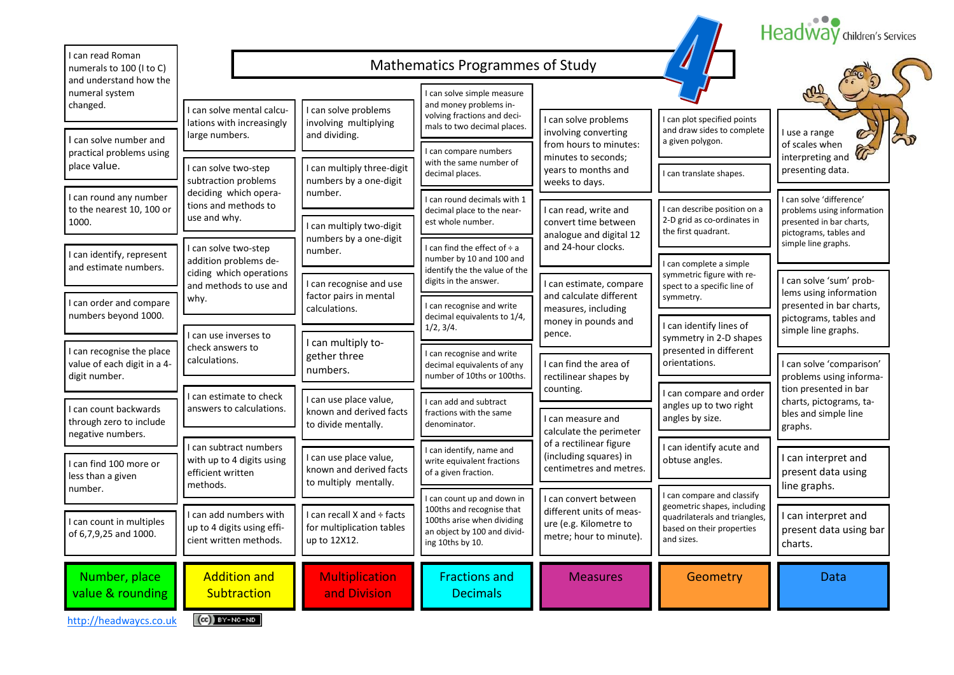|                                                                           |                                                                                |                                                                          |                                                                                                                                          |                                                                                                        |                                                                                                                                       | Headway children's Services                                                        |
|---------------------------------------------------------------------------|--------------------------------------------------------------------------------|--------------------------------------------------------------------------|------------------------------------------------------------------------------------------------------------------------------------------|--------------------------------------------------------------------------------------------------------|---------------------------------------------------------------------------------------------------------------------------------------|------------------------------------------------------------------------------------|
| I can read Roman<br>numerals to 100 (I to C)<br>and understand how the    | <b>Mathematics Programmes of Study</b>                                         |                                                                          |                                                                                                                                          |                                                                                                        |                                                                                                                                       |                                                                                    |
| numeral system<br>changed.                                                | I can solve mental calcu-                                                      | I can solve problems                                                     | I can solve simple measure<br>and money problems in-<br>volving fractions and deci-                                                      | I can solve problems                                                                                   | I can plot specified points                                                                                                           |                                                                                    |
| I can solve number and<br>practical problems using                        | lations with increasingly<br>large numbers.                                    | involving multiplying<br>and dividing.                                   | mals to two decimal places.<br>I can compare numbers                                                                                     | involving converting<br>from hours to minutes:                                                         | and draw sides to complete<br>a given polygon.                                                                                        | I use a range<br>of scales when                                                    |
| place value.                                                              | I can solve two-step<br>subtraction problems                                   | I can multiply three-digit<br>numbers by a one-digit                     | with the same number of<br>decimal places.                                                                                               | minutes to seconds;<br>years to months and<br>weeks to days.                                           | I can translate shapes.                                                                                                               | interpreting and<br>presenting data.                                               |
| I can round any number<br>to the nearest 10, 100 or<br>1000.              | deciding which opera-<br>tions and methods to<br>use and why.                  | number.<br>can multiply two-digit                                        | I can round decimals with 1<br>decimal place to the near-<br>est whole number.                                                           | I can read, write and<br>convert time between                                                          | I can describe position on a<br>2-D grid as co-ordinates in                                                                           | I can solve 'difference'<br>problems using information<br>presented in bar charts, |
| I can identify, represent                                                 | I can solve two-step<br>addition problems de-                                  | numbers by a one-digit<br>number.                                        | I can find the effect of $\div$ a<br>number by 10 and 100 and                                                                            | analogue and digital 12<br>and 24-hour clocks.                                                         | the first quadrant.<br>I can complete a simple                                                                                        | pictograms, tables and<br>simple line graphs.                                      |
| and estimate numbers.                                                     | ciding which operations<br>and methods to use and<br>why.                      | I can recognise and use<br>factor pairs in mental                        | identify the the value of the<br>digits in the answer.                                                                                   | I can estimate, compare<br>and calculate different                                                     | symmetric figure with re-<br>spect to a specific line of<br>symmetry.                                                                 | I can solve 'sum' prob-<br>lems using information                                  |
| I can order and compare<br>numbers beyond 1000.                           | I can use inverses to                                                          | calculations.                                                            | I can recognise and write<br>decimal equivalents to 1/4,<br>1/2, 3/4.                                                                    | measures, including<br>money in pounds and<br>pence.                                                   | I can identify lines of<br>symmetry in 2-D shapes                                                                                     | presented in bar charts,<br>pictograms, tables and<br>simple line graphs.          |
| I can recognise the place<br>value of each digit in a 4-<br>digit number. | check answers to<br>calculations.                                              | I can multiply to-<br>gether three<br>numbers.                           | I can recognise and write<br>decimal equivalents of any<br>number of 10ths or 100ths.                                                    | I can find the area of<br>rectilinear shapes by                                                        | presented in different<br>orientations.                                                                                               | I can solve 'comparison'<br>problems using informa-                                |
| I can count backwards                                                     | I can estimate to check<br>answers to calculations.                            | I can use place value,<br>known and derived facts                        | I can add and subtract<br>fractions with the same                                                                                        | counting.                                                                                              | I can compare and order<br>angles up to two right                                                                                     | tion presented in bar<br>charts, pictograms, ta-<br>bles and simple line           |
| through zero to include<br>negative numbers.                              | I can subtract numbers                                                         | to divide mentally.                                                      | denominator.<br>I can identify, name and                                                                                                 | I can measure and<br>calculate the perimeter<br>of a rectilinear figure                                | angles by size.<br>graphs.<br>I can identify acute and                                                                                |                                                                                    |
| I can find 100 more or<br>less than a given<br>number.                    | with up to 4 digits using<br>efficient written<br>methods.                     | can use place value,<br>known and derived facts<br>to multiply mentally. | write equivalent fractions<br>of a given fraction.                                                                                       | (including squares) in<br>centimetres and metres.                                                      | obtuse angles.                                                                                                                        | I can interpret and<br>present data using<br>line graphs.                          |
| I can count in multiples<br>of 6,7,9,25 and 1000.                         | I can add numbers with<br>up to 4 digits using effi-<br>cient written methods. | I can recall X and ÷ facts<br>for multiplication tables<br>up to 12X12.  | I can count up and down in<br>100ths and recognise that<br>100ths arise when dividing<br>an object by 100 and divid-<br>ing 10ths by 10. | I can convert between<br>different units of meas-<br>ure (e.g. Kilometre to<br>metre; hour to minute). | I can compare and classify<br>geometric shapes, including<br>quadrilaterals and triangles,<br>based on their properties<br>and sizes. | I can interpret and<br>present data using bar<br>charts.                           |
| Number, place<br>value & rounding                                         | <b>Addition and</b><br>Subtraction                                             | <b>Multiplication</b><br>and Division                                    | <b>Fractions and</b><br><b>Decimals</b>                                                                                                  | <b>Measures</b>                                                                                        | Geometry                                                                                                                              | <b>Data</b>                                                                        |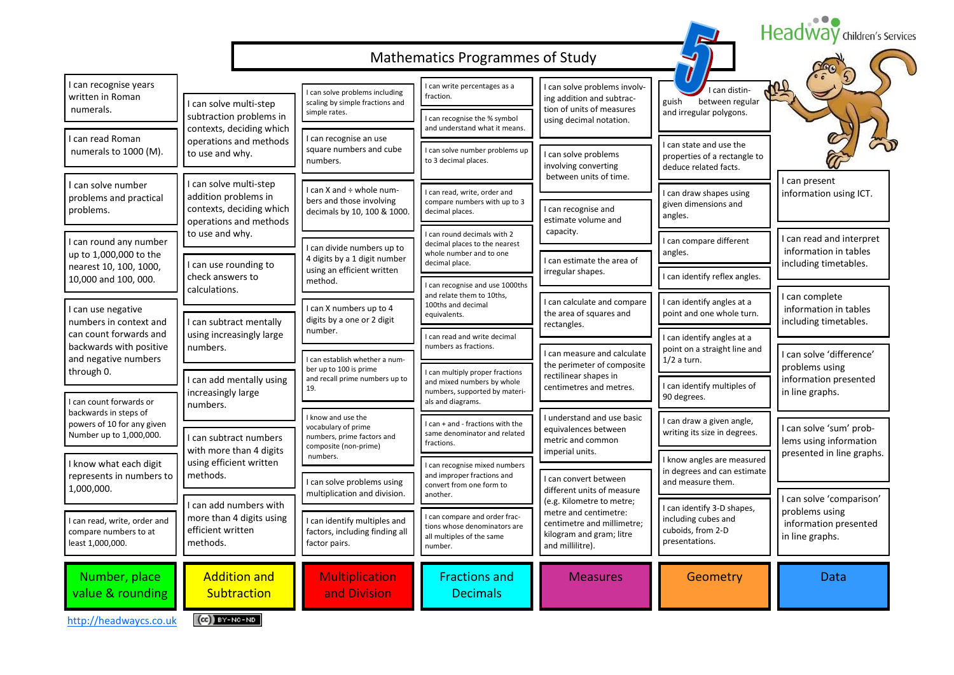|                                                                                |                                                                                                      |                                                                                     |                                                                                                                     |                                                                                                     |                                                                                          | Headway children's Services                                                |
|--------------------------------------------------------------------------------|------------------------------------------------------------------------------------------------------|-------------------------------------------------------------------------------------|---------------------------------------------------------------------------------------------------------------------|-----------------------------------------------------------------------------------------------------|------------------------------------------------------------------------------------------|----------------------------------------------------------------------------|
|                                                                                |                                                                                                      |                                                                                     | Mathematics Programmes of Study                                                                                     |                                                                                                     |                                                                                          |                                                                            |
| I can recognise years<br>written in Roman                                      | I can solve multi-step                                                                               | can solve problems including<br>scaling by simple fractions and                     | can write percentages as a<br>fraction.                                                                             | I can solve problems involv-<br>ing addition and subtrac-                                           | I can distin-<br>guish<br>between regular                                                |                                                                            |
| numerals.                                                                      | subtraction problems in<br>contexts, deciding which                                                  | simple rates.                                                                       | I can recognise the % symbol<br>and understand what it means.                                                       | tion of units of measures<br>using decimal notation.                                                | and irregular polygons.                                                                  |                                                                            |
| I can read Roman<br>numerals to 1000 (M).                                      | operations and methods<br>to use and why.                                                            | I can recognise an use<br>square numbers and cube<br>numbers.                       | I can solve number problems up<br>to 3 decimal places.                                                              | I can solve problems<br>involving converting                                                        | I can state and use the<br>properties of a rectangle to<br>deduce related facts.         |                                                                            |
| I can solve number<br>problems and practical<br>problems.                      | I can solve multi-step<br>addition problems in<br>contexts, deciding which<br>operations and methods | I can X and : whole num-<br>bers and those involving<br>decimals by 10, 100 & 1000. | I can read, write, order and<br>compare numbers with up to 3<br>decimal places.                                     | between units of time.<br>I can recognise and<br>estimate volume and                                | I can draw shapes using<br>given dimensions and<br>angles.                               | I can present<br>information using ICT.                                    |
| I can round any number<br>up to 1,000,000 to the                               | to use and why.<br>I can use rounding to                                                             | I can divide numbers up to<br>4 digits by a 1 digit number                          | I can round decimals with 2<br>decimal places to the nearest<br>whole number and to one<br>decimal place.           | capacity.<br>I can estimate the area of                                                             | I can compare different<br>angles.                                                       | I can read and interpret<br>information in tables<br>including timetables. |
| nearest 10, 100, 1000,<br>10,000 and 100, 000.                                 | check answers to<br>calculations.                                                                    | using an efficient written<br>method.                                               | I can recognise and use 1000ths                                                                                     | irregular shapes.                                                                                   | I can identify reflex angles.                                                            |                                                                            |
| I can use negative<br>numbers in context and                                   | I can subtract mentally                                                                              | I can X numbers up to 4<br>digits by a one or 2 digit                               | and relate them to 10ths,<br>100ths and decimal<br>equivalents.                                                     | I can calculate and compare<br>the area of squares and<br>rectangles.                               | I can identify angles at a<br>point and one whole turn.                                  | I can complete<br>information in tables<br>including timetables.           |
| can count forwards and<br>backwards with positive<br>and negative numbers      | using increasingly large<br>numbers.                                                                 | number.<br>I can establish whether a num-                                           | I can read and write decimal<br>numbers as fractions.                                                               | I can measure and calculate                                                                         | I can identify angles at a<br>point on a straight line and<br>$1/2$ a turn.              | I can solve 'difference'                                                   |
| through 0.<br>I can count forwards or                                          | can add mentally using<br>increasingly large                                                         | ber up to 100 is prime<br>and recall prime numbers up to<br>19.                     | I can multiply proper fractions<br>and mixed numbers by whole<br>numbers, supported by materi-<br>als and diagrams. | the perimeter of composite<br>rectilinear shapes in<br>centimetres and metres.                      | I can identify multiples of<br>90 degrees.                                               | problems using<br>information presented<br>in line graphs.                 |
| backwards in steps of<br>powers of 10 for any given<br>Number up to 1,000,000. | numbers.<br>I can subtract numbers                                                                   | I know and use the<br>vocabulary of prime<br>numbers, prime factors and             | I can + and - fractions with the<br>same denominator and related                                                    | I understand and use basic<br>equivalences between<br>metric and common                             | I can draw a given angle,<br>writing its size in degrees.                                | I can solve 'sum' prob-<br>lems using information                          |
| I know what each digit<br>represents in numbers to                             | with more than 4 digits<br>using efficient written<br>methods.                                       | composite (non-prime)<br>numbers.                                                   | fractions.<br>I can recognise mixed numbers<br>and improper fractions and                                           | imperial units.                                                                                     | I know angles are measured<br>in degrees and can estimate                                | presented in line graphs.                                                  |
| 1,000,000.                                                                     |                                                                                                      | I can solve problems using<br>multiplication and division.                          | convert from one form to<br>another.                                                                                | I can convert between<br>different units of measure<br>(e.g. Kilometre to metre;                    | and measure them.                                                                        | I can solve 'comparison'                                                   |
| I can read, write, order and<br>compare numbers to at<br>least 1,000,000.      | I can add numbers with<br>more than 4 digits using<br>efficient written<br>methods.                  | I can identify multiples and<br>factors, including finding all<br>factor pairs.     | I can compare and order frac-<br>tions whose denominators are<br>all multiples of the same<br>number.               | metre and centimetre:<br>centimetre and millimetre;<br>kilogram and gram; litre<br>and millilitre). | I can identify 3-D shapes,<br>including cubes and<br>cuboids, from 2-D<br>presentations. | problems using<br>information presented<br>in line graphs.                 |
| Number, place<br>value & rounding                                              | <b>Addition and</b><br>Subtraction                                                                   | <b>Multiplication</b><br>and Division                                               | <b>Fractions and</b><br><b>Decimals</b>                                                                             | <b>Measures</b>                                                                                     | Geometry                                                                                 | <b>Data</b>                                                                |
| http://headwaycs.co.uk                                                         | $(Cc)$ BY-NC-ND                                                                                      |                                                                                     |                                                                                                                     |                                                                                                     |                                                                                          |                                                                            |